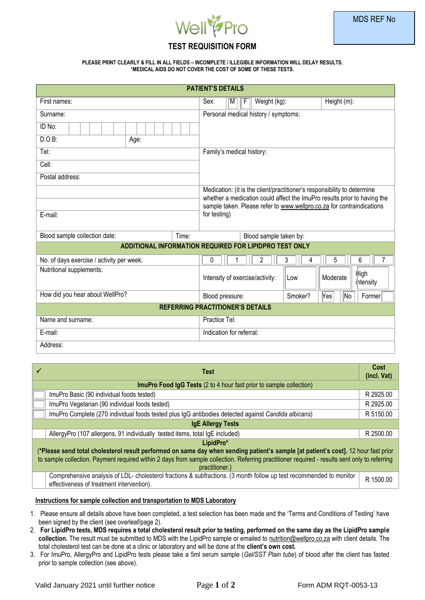

# **TEST REQUISITION FORM**

**PLEASE PRINT CLEARLY & FILL IN ALL FIELDS – INCOMPLETE / ILLEGIBLE INFORMATION WILL DELAY RESULTS.** \***MEDICAL AIDS DO NOT COVER THE COST OF SOME OF THESE TESTS.**

| <b>PATIENT'S DETAILS</b>                               |       |                           |                                      |         |                                                                                                                                                                                                                               |
|--------------------------------------------------------|-------|---------------------------|--------------------------------------|---------|-------------------------------------------------------------------------------------------------------------------------------------------------------------------------------------------------------------------------------|
| First names:                                           |       | Sex:<br> M                | Weight (kg):<br>F                    |         | Height (m):                                                                                                                                                                                                                   |
| Surname:                                               |       |                           | Personal medical history / symptoms: |         |                                                                                                                                                                                                                               |
| ID No:                                                 |       |                           |                                      |         |                                                                                                                                                                                                                               |
| $D.O.B$ :<br>Age:                                      |       |                           |                                      |         |                                                                                                                                                                                                                               |
| Tel:                                                   |       | Family's medical history: |                                      |         |                                                                                                                                                                                                                               |
| Cell:                                                  |       |                           |                                      |         |                                                                                                                                                                                                                               |
| Postal address:                                        |       |                           |                                      |         |                                                                                                                                                                                                                               |
|                                                        |       |                           |                                      |         | Medication: (it is the client/practitioner's responsibility to determine<br>whether a medication could affect the ImuPro results prior to having the<br>sample taken. Please refer to www.wellpro.co.za for contraindications |
| E-mail:                                                |       | for testing)              |                                      |         |                                                                                                                                                                                                                               |
| Blood sample collection date:                          | Time: |                           | Blood sample taken by:               |         |                                                                                                                                                                                                                               |
| ADDITIONAL INFORMATION REQUIRED FOR LIPIDPRO TEST ONLY |       |                           |                                      |         |                                                                                                                                                                                                                               |
| No. of days exercise / activity per week:              |       | 0                         | 2                                    | 3<br>4  | 5<br>6<br>7                                                                                                                                                                                                                   |
| Nutritional supplements:                               |       |                           | Intensity of exercise/activity:      | Low     | High<br>Moderate<br>intensity                                                                                                                                                                                                 |
| How did you hear about WellPro?                        |       | Blood pressure:           |                                      | Smoker? | No<br>Yes<br>Former                                                                                                                                                                                                           |
| <b>REFERRING PRACTITIONER'S DETAILS</b>                |       |                           |                                      |         |                                                                                                                                                                                                                               |
| Name and surname:                                      |       | Practice Tel:             |                                      |         |                                                                                                                                                                                                                               |
| E-mail:                                                |       | Indication for referral:  |                                      |         |                                                                                                                                                                                                                               |
| Address:                                               |       |                           |                                      |         |                                                                                                                                                                                                                               |

|                                                                                                                                                                                                                                                                                                                    | <b>Test</b>                                                                                                                                                      |           |  |  |  |
|--------------------------------------------------------------------------------------------------------------------------------------------------------------------------------------------------------------------------------------------------------------------------------------------------------------------|------------------------------------------------------------------------------------------------------------------------------------------------------------------|-----------|--|--|--|
|                                                                                                                                                                                                                                                                                                                    | <b>ImuPro Food IgG Tests</b> (2 to 4 hour fast prior to sample collection)                                                                                       |           |  |  |  |
|                                                                                                                                                                                                                                                                                                                    | ImuPro Basic (90 individual foods tested)                                                                                                                        | R 2925.00 |  |  |  |
|                                                                                                                                                                                                                                                                                                                    | ImuPro Vegetarian (90 individual foods tested)                                                                                                                   | R 2925.00 |  |  |  |
|                                                                                                                                                                                                                                                                                                                    | ImuPro Complete (270 individual foods tested plus IgG antibodies detected against Candida albicans)                                                              | R 5150.00 |  |  |  |
| <b>IgE Allergy Tests</b>                                                                                                                                                                                                                                                                                           |                                                                                                                                                                  |           |  |  |  |
|                                                                                                                                                                                                                                                                                                                    | AllergyPro (107 allergens, 91 individually tested items, total IgE included)                                                                                     | R 2500.00 |  |  |  |
| LipidPro*<br>(*Please send total cholesterol result performed on same day when sending patient's sample [at patient's cost]. 12 hour fast prior<br>to sample collection. Payment required within 2 days from sample collection. Referring practitioner required - results sent only to referring<br>practitioner.) |                                                                                                                                                                  |           |  |  |  |
|                                                                                                                                                                                                                                                                                                                    | Comprehensive analysis of LDL- cholesterol fractions & subfractions. (3 month follow up test recommended to monitor<br>effectiveness of treatment intervention). | R 1500.00 |  |  |  |

## **Instructions for sample collection and transportation to MDS Laboratory**

- 1. Please ensure all details above have been completed, a test selection has been made and the 'Terms and Conditions of Testing' have been signed by the client (see overleaf/page 2).
- 2. **For LipidPro tests, MDS requires a total cholesterol result prior to testing, performed on the same day as the LipidPro sample collection.** The result must be submitted to MDS with the LipidPro sample or emailed to nutrition@wellpro.co.za with client details. The total cholesterol test can be done at a clinic or laboratory and will be done at the **client's own cost.**
- 3. For ImuPro, AllergyPro and LipidPro tests please take a 5ml serum sample (*Gel/SST Plain tube*) of blood after the client has fasted prior to sample collection (see above).